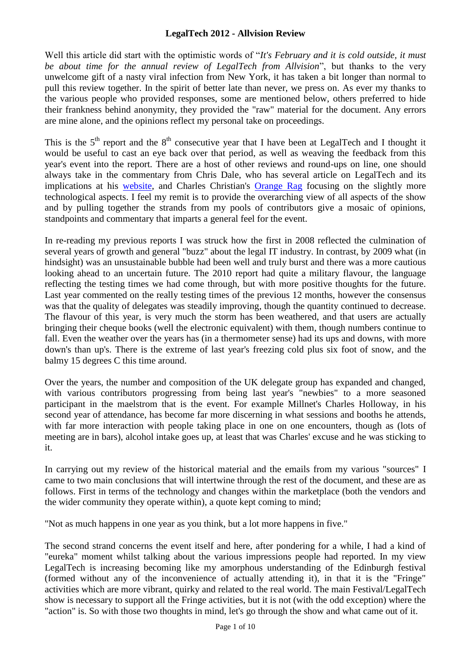Well this article did start with the optimistic words of "*It's February and it is cold outside, it must be about time for the annual review of LegalTech from Allvision*", but thanks to the very unwelcome gift of a nasty viral infection from New York, it has taken a bit longer than normal to pull this review together. In the spirit of better late than never, we press on. As ever my thanks to the various people who provided responses, some are mentioned below, others preferred to hide their frankness behind anonymity, they provided the "raw" material for the document. Any errors are mine alone, and the opinions reflect my personal take on proceedings.

This is the  $5<sup>th</sup>$  report and the  $8<sup>th</sup>$  consecutive year that I have been at LegalTech and I thought it would be useful to cast an eye back over that period, as well as weaving the feedback from this year's event into the report. There are a host of other reviews and round-ups on line, one should always take in the commentary from Chris Dale, who has several article on LegalTech and its implications at his [website,](http://chrisdale.wordpress.com/) and Charles Christian's [Orange Rag](http://www.theorangerag.com/blog) focusing on the slightly more technological aspects. I feel my remit is to provide the overarching view of all aspects of the show and by pulling together the strands from my pools of contributors give a mosaic of opinions, standpoints and commentary that imparts a general feel for the event.

In re-reading my previous reports I was struck how the first in 2008 reflected the culmination of several years of growth and general "buzz" about the legal IT industry. In contrast, by 2009 what (in hindsight) was an unsustainable bubble had been well and truly burst and there was a more cautious looking ahead to an uncertain future. The 2010 report had quite a military flavour, the language reflecting the testing times we had come through, but with more positive thoughts for the future. Last year commented on the really testing times of the previous 12 months, however the consensus was that the quality of delegates was steadily improving, though the quantity continued to decrease. The flavour of this year, is very much the storm has been weathered, and that users are actually bringing their cheque books (well the electronic equivalent) with them, though numbers continue to fall. Even the weather over the years has (in a thermometer sense) had its ups and downs, with more down's than up's. There is the extreme of last year's freezing cold plus six foot of snow, and the balmy 15 degrees C this time around.

Over the years, the number and composition of the UK delegate group has expanded and changed, with various contributors progressing from being last year's "newbies" to a more seasoned participant in the maelstrom that is the event. For example Millnet's Charles Holloway, in his second year of attendance, has become far more discerning in what sessions and booths he attends, with far more interaction with people taking place in one on one encounters, though as (lots of meeting are in bars), alcohol intake goes up, at least that was Charles' excuse and he was sticking to it.

In carrying out my review of the historical material and the emails from my various "sources" I came to two main conclusions that will intertwine through the rest of the document, and these are as follows. First in terms of the technology and changes within the marketplace (both the vendors and the wider community they operate within), a quote kept coming to mind;

"Not as much happens in one year as you think, but a lot more happens in five."

The second strand concerns the event itself and here, after pondering for a while, I had a kind of "eureka" moment whilst talking about the various impressions people had reported. In my view LegalTech is increasing becoming like my amorphous understanding of the Edinburgh festival (formed without any of the inconvenience of actually attending it), in that it is the "Fringe" activities which are more vibrant, quirky and related to the real world. The main Festival/LegalTech show is necessary to support all the Fringe activities, but it is not (with the odd exception) where the "action" is. So with those two thoughts in mind, let's go through the show and what came out of it.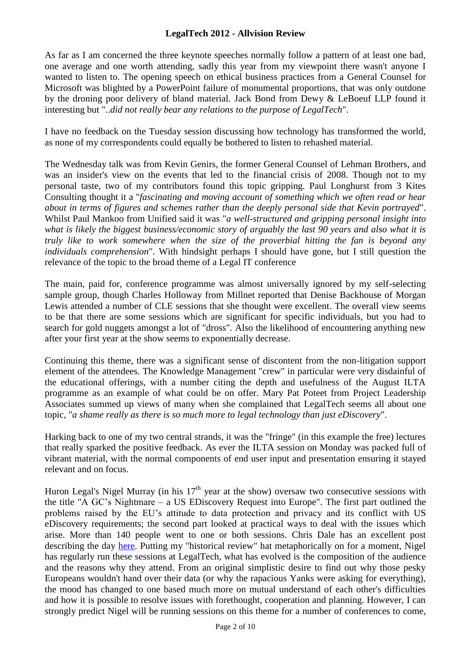As far as I am concerned the three keynote speeches normally follow a pattern of at least one bad, one average and one worth attending, sadly this year from my viewpoint there wasn't anyone I wanted to listen to. The opening speech on ethical business practices from a General Counsel for Microsoft was blighted by a PowerPoint failure of monumental proportions, that was only outdone by the droning poor delivery of bland material. Jack Bond from Dewy & LeBoeuf LLP found it interesting but "..*did not really bear any relations to the purpose of LegalTech*".

I have no feedback on the Tuesday session discussing how technology has transformed the world, as none of my correspondents could equally be bothered to listen to rehashed material.

The Wednesday talk was from Kevin Genirs, the former General Counsel of Lehman Brothers, and was an insider's view on the events that led to the financial crisis of 2008. Though not to my personal taste, two of my contributors found this topic gripping. Paul Longhurst from 3 Kites Consulting thought it a "*fascinating and moving account of something which we often read or hear about in terms of figures and schemes rather than the deeply personal side that Kevin portrayed*". Whilst Paul Mankoo from Unified said it was "*a well-structured and gripping personal insight into what is likely the biggest business/economic story of arguably the last 90 years and also what it is truly like to work somewhere when the size of the proverbial hitting the fan is beyond any individuals comprehension*". With hindsight perhaps I should have gone, but I still question the relevance of the topic to the broad theme of a Legal IT conference

The main, paid for, conference programme was almost universally ignored by my self-selecting sample group, though Charles Holloway from Millnet reported that Denise Backhouse of Morgan Lewis attended a number of CLE sessions that she thought were excellent. The overall view seems to be that there are some sessions which are significant for specific individuals, but you had to search for gold nuggets amongst a lot of "dross". Also the likelihood of encountering anything new after your first year at the show seems to exponentially decrease.

Continuing this theme, there was a significant sense of discontent from the non-litigation support element of the attendees. The Knowledge Management "crew" in particular were very disdainful of the educational offerings, with a number citing the depth and usefulness of the August ILTA programme as an example of what could be on offer. Mary Pat Poteet from Project Leadership Associates summed up views of many when she complained that LegalTech seems all about one topic, "*a shame really as there is so much more to legal technology than just eDiscovery*".

Harking back to one of my two central strands, it was the "fringe" (in this example the free) lectures that really sparked the positive feedback. As ever the ILTA session on Monday was packed full of vibrant material, with the normal components of end user input and presentation ensuring it stayed relevant and on focus.

Huron Legal's Nigel Murray (in his  $17<sup>th</sup>$  year at the show) oversaw two consecutive sessions with the title "A GC's Nightmare – a US EDiscovery Request into Europe". The first part outlined the problems raised by the EU's attitude to data protection and privacy and its conflict with US eDiscovery requirements; the second part looked at practical ways to deal with the issues which arise. More than 140 people went to one or both sessions. Chris Dale has an excellent post describing the day [here.](http://chrisdale.wordpress.com/2012/02/20/huron-ediscovery-panel-at-legaltech-as-the-cross-border-climate-begins-to-change) Putting my "historical review" hat metaphorically on for a moment, Nigel has regularly run these sessions at LegalTech, what has evolved is the composition of the audience and the reasons why they attend. From an original simplistic desire to find out why those pesky Europeans wouldn't hand over their data (or why the rapacious Yanks were asking for everything), the mood has changed to one based much more on mutual understand of each other's difficulties and how it is possible to resolve issues with forethought, cooperation and planning. However, I can strongly predict Nigel will be running sessions on this theme for a number of conferences to come,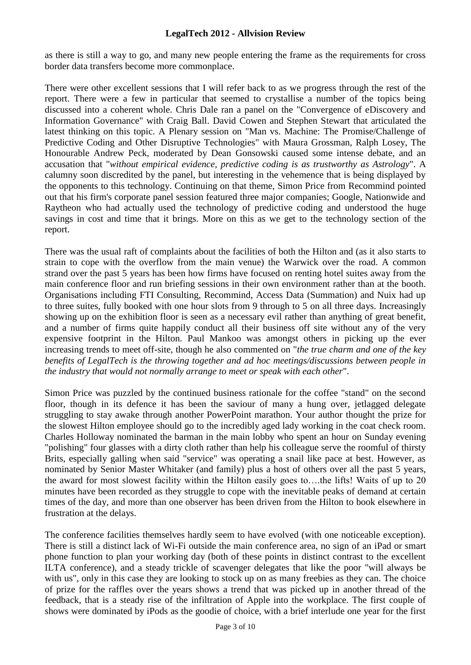as there is still a way to go, and many new people entering the frame as the requirements for cross border data transfers become more commonplace.

There were other excellent sessions that I will refer back to as we progress through the rest of the report. There were a few in particular that seemed to crystallise a number of the topics being discussed into a coherent whole. Chris Dale ran a panel on the "Convergence of eDiscovery and Information Governance" with Craig Ball. David Cowen and Stephen Stewart that articulated the latest thinking on this topic. A Plenary session on "Man vs. Machine: The Promise/Challenge of Predictive Coding and Other Disruptive Technologies" with Maura Grossman, Ralph Losey, The Honourable Andrew Peck, moderated by Dean Gonsowski caused some intense debate, and an accusation that "*without empirical evidence, predictive coding is as trustworthy as Astrology*". A calumny soon discredited by the panel, but interesting in the vehemence that is being displayed by the opponents to this technology. Continuing on that theme, Simon Price from Recommind pointed out that his firm's corporate panel session featured three major companies; Google, Nationwide and Raytheon who had actually used the technology of predictive coding and understood the huge savings in cost and time that it brings. More on this as we get to the technology section of the report.

There was the usual raft of complaints about the facilities of both the Hilton and (as it also starts to strain to cope with the overflow from the main venue) the Warwick over the road. A common strand over the past 5 years has been how firms have focused on renting hotel suites away from the main conference floor and run briefing sessions in their own environment rather than at the booth. Organisations including FTI Consulting, Recommind, Access Data (Summation) and Nuix had up to three suites, fully booked with one hour slots from 9 through to 5 on all three days. Increasingly showing up on the exhibition floor is seen as a necessary evil rather than anything of great benefit, and a number of firms quite happily conduct all their business off site without any of the very expensive footprint in the Hilton. Paul Mankoo was amongst others in picking up the ever increasing trends to meet off-site, though he also commented on "*the true charm and one of the key benefits of LegalTech is the throwing together and ad hoc meetings/discussions between people in the industry that would not normally arrange to meet or speak with each other*".

Simon Price was puzzled by the continued business rationale for the coffee "stand" on the second floor, though in its defence it has been the saviour of many a hung over, jetlagged delegate struggling to stay awake through another PowerPoint marathon. Your author thought the prize for the slowest Hilton employee should go to the incredibly aged lady working in the coat check room. Charles Holloway nominated the barman in the main lobby who spent an hour on Sunday evening "polishing" four glasses with a dirty cloth rather than help his colleague serve the roomful of thirsty Brits, especially galling when said "service" was operating a snail like pace at best. However, as nominated by Senior Master Whitaker (and family) plus a host of others over all the past 5 years, the award for most slowest facility within the Hilton easily goes to….the lifts! Waits of up to 20 minutes have been recorded as they struggle to cope with the inevitable peaks of demand at certain times of the day, and more than one observer has been driven from the Hilton to book elsewhere in frustration at the delays.

The conference facilities themselves hardly seem to have evolved (with one noticeable exception). There is still a distinct lack of Wi-Fi outside the main conference area, no sign of an iPad or smart phone function to plan your working day (both of these points in distinct contrast to the excellent ILTA conference), and a steady trickle of scavenger delegates that like the poor "will always be with us", only in this case they are looking to stock up on as many freebies as they can. The choice of prize for the raffles over the years shows a trend that was picked up in another thread of the feedback, that is a steady rise of the infiltration of Apple into the workplace. The first couple of shows were dominated by iPods as the goodie of choice, with a brief interlude one year for the first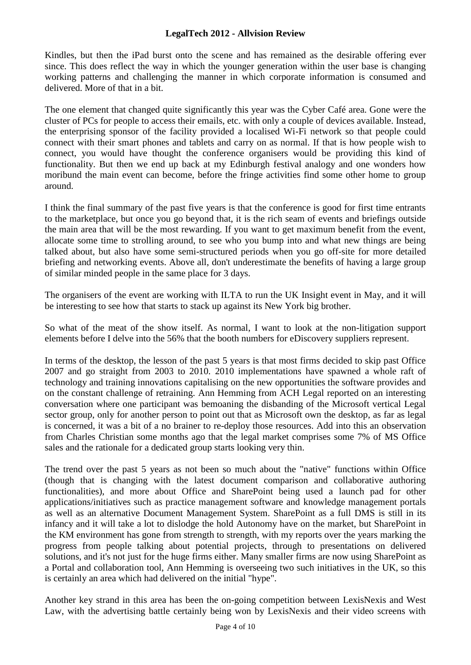Kindles, but then the iPad burst onto the scene and has remained as the desirable offering ever since. This does reflect the way in which the younger generation within the user base is changing working patterns and challenging the manner in which corporate information is consumed and delivered. More of that in a bit.

The one element that changed quite significantly this year was the Cyber Café area. Gone were the cluster of PCs for people to access their emails, etc. with only a couple of devices available. Instead, the enterprising sponsor of the facility provided a localised Wi-Fi network so that people could connect with their smart phones and tablets and carry on as normal. If that is how people wish to connect, you would have thought the conference organisers would be providing this kind of functionality. But then we end up back at my Edinburgh festival analogy and one wonders how moribund the main event can become, before the fringe activities find some other home to group around.

I think the final summary of the past five years is that the conference is good for first time entrants to the marketplace, but once you go beyond that, it is the rich seam of events and briefings outside the main area that will be the most rewarding. If you want to get maximum benefit from the event, allocate some time to strolling around, to see who you bump into and what new things are being talked about, but also have some semi-structured periods when you go off-site for more detailed briefing and networking events. Above all, don't underestimate the benefits of having a large group of similar minded people in the same place for 3 days.

The organisers of the event are working with ILTA to run the UK Insight event in May, and it will be interesting to see how that starts to stack up against its New York big brother.

So what of the meat of the show itself. As normal, I want to look at the non-litigation support elements before I delve into the 56% that the booth numbers for eDiscovery suppliers represent.

In terms of the desktop, the lesson of the past 5 years is that most firms decided to skip past Office 2007 and go straight from 2003 to 2010. 2010 implementations have spawned a whole raft of technology and training innovations capitalising on the new opportunities the software provides and on the constant challenge of retraining. Ann Hemming from ACH Legal reported on an interesting conversation where one participant was bemoaning the disbanding of the Microsoft vertical Legal sector group, only for another person to point out that as Microsoft own the desktop, as far as legal is concerned, it was a bit of a no brainer to re-deploy those resources. Add into this an observation from Charles Christian some months ago that the legal market comprises some 7% of MS Office sales and the rationale for a dedicated group starts looking very thin.

The trend over the past 5 years as not been so much about the "native" functions within Office (though that is changing with the latest document comparison and collaborative authoring functionalities), and more about Office and SharePoint being used a launch pad for other applications/initiatives such as practice management software and knowledge management portals as well as an alternative Document Management System. SharePoint as a full DMS is still in its infancy and it will take a lot to dislodge the hold Autonomy have on the market, but SharePoint in the KM environment has gone from strength to strength, with my reports over the years marking the progress from people talking about potential projects, through to presentations on delivered solutions, and it's not just for the huge firms either. Many smaller firms are now using SharePoint as a Portal and collaboration tool, Ann Hemming is overseeing two such initiatives in the UK, so this is certainly an area which had delivered on the initial "hype".

Another key strand in this area has been the on-going competition between LexisNexis and West Law, with the advertising battle certainly being won by LexisNexis and their video screens with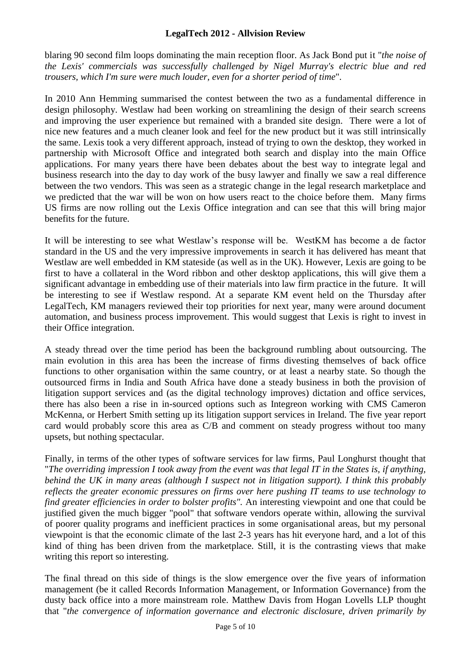blaring 90 second film loops dominating the main reception floor. As Jack Bond put it "*the noise of the Lexis' commercials was successfully challenged by Nigel Murray's electric blue and red trousers, which I'm sure were much louder, even for a shorter period of time*".

In 2010 Ann Hemming summarised the contest between the two as a fundamental difference in design philosophy. Westlaw had been working on streamlining the design of their search screens and improving the user experience but remained with a branded site design. There were a lot of nice new features and a much cleaner look and feel for the new product but it was still intrinsically the same. Lexis took a very different approach, instead of trying to own the desktop, they worked in partnership with Microsoft Office and integrated both search and display into the main Office applications. For many years there have been debates about the best way to integrate legal and business research into the day to day work of the busy lawyer and finally we saw a real difference between the two vendors. This was seen as a strategic change in the legal research marketplace and we predicted that the war will be won on how users react to the choice before them. Many firms US firms are now rolling out the Lexis Office integration and can see that this will bring major benefits for the future.

It will be interesting to see what Westlaw's response will be. WestKM has become a de factor standard in the US and the very impressive improvements in search it has delivered has meant that Westlaw are well embedded in KM stateside (as well as in the UK). However, Lexis are going to be first to have a collateral in the Word ribbon and other desktop applications, this will give them a significant advantage in embedding use of their materials into law firm practice in the future. It will be interesting to see if Westlaw respond. At a separate KM event held on the Thursday after LegalTech, KM managers reviewed their top priorities for next year, many were around document automation, and business process improvement. This would suggest that Lexis is right to invest in their Office integration.

A steady thread over the time period has been the background rumbling about outsourcing. The main evolution in this area has been the increase of firms divesting themselves of back office functions to other organisation within the same country, or at least a nearby state. So though the outsourced firms in India and South Africa have done a steady business in both the provision of litigation support services and (as the digital technology improves) dictation and office services, there has also been a rise in in-sourced options such as Integreon working with CMS Cameron McKenna, or Herbert Smith setting up its litigation support services in Ireland. The five year report card would probably score this area as C/B and comment on steady progress without too many upsets, but nothing spectacular.

Finally, in terms of the other types of software services for law firms, Paul Longhurst thought that "*The overriding impression I took away from the event was that legal IT in the States is, if anything, behind the UK in many areas (although I suspect not in litigation support). I think this probably reflects the greater economic pressures on firms over here pushing IT teams to use technology to find greater efficiencies in order to bolster profits".* An interesting viewpoint and one that could be justified given the much bigger "pool" that software vendors operate within, allowing the survival of poorer quality programs and inefficient practices in some organisational areas, but my personal viewpoint is that the economic climate of the last 2-3 years has hit everyone hard, and a lot of this kind of thing has been driven from the marketplace. Still, it is the contrasting views that make writing this report so interesting.

The final thread on this side of things is the slow emergence over the five years of information management (be it called Records Information Management, or Information Governance) from the dusty back office into a more mainstream role. Matthew Davis from Hogan Lovells LLP thought that "*the convergence of information governance and electronic disclosure, driven primarily by*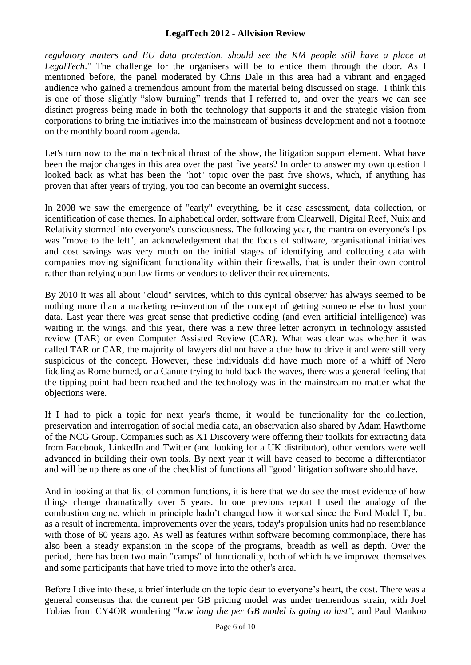*regulatory matters and EU data protection, should see the KM people still have a place at LegalTech*." The challenge for the organisers will be to entice them through the door. As I mentioned before, the panel moderated by Chris Dale in this area had a vibrant and engaged audience who gained a tremendous amount from the material being discussed on stage. I think this is one of those slightly "slow burning" trends that I referred to, and over the years we can see distinct progress being made in both the technology that supports it and the strategic vision from corporations to bring the initiatives into the mainstream of business development and not a footnote on the monthly board room agenda.

Let's turn now to the main technical thrust of the show, the litigation support element. What have been the major changes in this area over the past five years? In order to answer my own question I looked back as what has been the "hot" topic over the past five shows, which, if anything has proven that after years of trying, you too can become an overnight success.

In 2008 we saw the emergence of "early" everything, be it case assessment, data collection, or identification of case themes. In alphabetical order, software from Clearwell, Digital Reef, Nuix and Relativity stormed into everyone's consciousness. The following year, the mantra on everyone's lips was "move to the left", an acknowledgement that the focus of software, organisational initiatives and cost savings was very much on the initial stages of identifying and collecting data with companies moving significant functionality within their firewalls, that is under their own control rather than relying upon law firms or vendors to deliver their requirements.

By 2010 it was all about "cloud" services, which to this cynical observer has always seemed to be nothing more than a marketing re-invention of the concept of getting someone else to host your data. Last year there was great sense that predictive coding (and even artificial intelligence) was waiting in the wings, and this year, there was a new three letter acronym in technology assisted review (TAR) or even Computer Assisted Review (CAR). What was clear was whether it was called TAR or CAR, the majority of lawyers did not have a clue how to drive it and were still very suspicious of the concept. However, these individuals did have much more of a whiff of Nero fiddling as Rome burned, or a Canute trying to hold back the waves, there was a general feeling that the tipping point had been reached and the technology was in the mainstream no matter what the objections were.

If I had to pick a topic for next year's theme, it would be functionality for the collection, preservation and interrogation of social media data, an observation also shared by Adam Hawthorne of the NCG Group. Companies such as X1 Discovery were offering their toolkits for extracting data from Facebook, LinkedIn and Twitter (and looking for a UK distributor), other vendors were well advanced in building their own tools. By next year it will have ceased to become a differentiator and will be up there as one of the checklist of functions all "good" litigation software should have.

And in looking at that list of common functions, it is here that we do see the most evidence of how things change dramatically over 5 years. In one previous report I used the analogy of the combustion engine, which in principle hadn't changed how it worked since the Ford Model T, but as a result of incremental improvements over the years, today's propulsion units had no resemblance with those of 60 years ago. As well as features within software becoming commonplace, there has also been a steady expansion in the scope of the programs, breadth as well as depth. Over the period, there has been two main "camps" of functionality, both of which have improved themselves and some participants that have tried to move into the other's area.

Before I dive into these, a brief interlude on the topic dear to everyone's heart, the cost. There was a general consensus that the current per GB pricing model was under tremendous strain, with Joel Tobias from CY4OR wondering "*how long the per GB model is going to last"*, and Paul Mankoo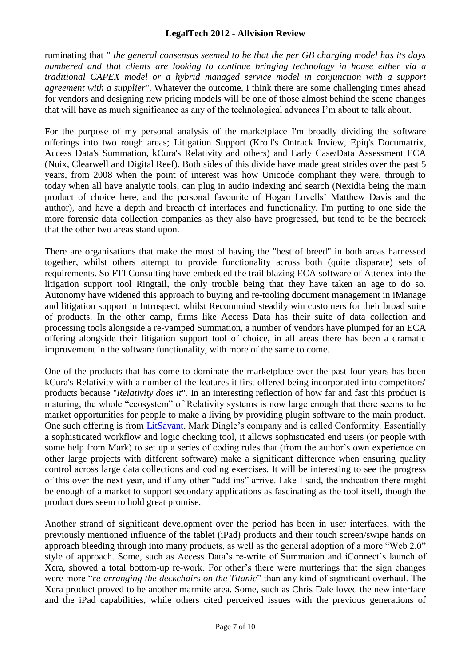ruminating that " *the general consensus seemed to be that the per GB charging model has its days numbered and that clients are looking to continue bringing technology in house either via a traditional CAPEX model or a hybrid managed service model in conjunction with a support agreement with a supplier*". Whatever the outcome, I think there are some challenging times ahead for vendors and designing new pricing models will be one of those almost behind the scene changes that will have as much significance as any of the technological advances I'm about to talk about.

For the purpose of my personal analysis of the marketplace I'm broadly dividing the software offerings into two rough areas; Litigation Support (Kroll's Ontrack Inview, Epiq's Documatrix, Access Data's Summation, kCura's Relativity and others) and Early Case/Data Assessment ECA (Nuix, Clearwell and Digital Reef). Both sides of this divide have made great strides over the past 5 years, from 2008 when the point of interest was how Unicode compliant they were, through to today when all have analytic tools, can plug in audio indexing and search (Nexidia being the main product of choice here, and the personal favourite of Hogan Lovells' Matthew Davis and the author), and have a depth and breadth of interfaces and functionality. I'm putting to one side the more forensic data collection companies as they also have progressed, but tend to be the bedrock that the other two areas stand upon.

There are organisations that make the most of having the "best of breed" in both areas harnessed together, whilst others attempt to provide functionality across both (quite disparate) sets of requirements. So FTI Consulting have embedded the trail blazing ECA software of Attenex into the litigation support tool Ringtail, the only trouble being that they have taken an age to do so. Autonomy have widened this approach to buying and re-tooling document management in iManage and litigation support in Introspect, whilst Recommind steadily win customers for their broad suite of products. In the other camp, firms like Access Data has their suite of data collection and processing tools alongside a re-vamped Summation, a number of vendors have plumped for an ECA offering alongside their litigation support tool of choice, in all areas there has been a dramatic improvement in the software functionality, with more of the same to come.

One of the products that has come to dominate the marketplace over the past four years has been kCura's Relativity with a number of the features it first offered being incorporated into competitors' products because "*Relativity does it*"*.* In an interesting reflection of how far and fast this product is maturing, the whole "ecosystem" of Relativity systems is now large enough that there seems to be market opportunities for people to make a living by providing plugin software to the main product. One such offering is from *LitSavant*, Mark Dingle's company and is called Conformity. Essentially a sophisticated workflow and logic checking tool, it allows sophisticated end users (or people with some help from Mark) to set up a series of coding rules that (from the author's own experience on other large projects with different software) make a significant difference when ensuring quality control across large data collections and coding exercises. It will be interesting to see the progress of this over the next year, and if any other "add-ins" arrive. Like I said, the indication there might be enough of a market to support secondary applications as fascinating as the tool itself, though the product does seem to hold great promise.

Another strand of significant development over the period has been in user interfaces, with the previously mentioned influence of the tablet (iPad) products and their touch screen/swipe hands on approach bleeding through into many products, as well as the general adoption of a more "Web 2.0" style of approach. Some, such as Access Data's re-write of Summation and iConnect's launch of Xera, showed a total bottom-up re-work. For other's there were mutterings that the sign changes were more "*re-arranging the deckchairs on the Titanic*" than any kind of significant overhaul. The Xera product proved to be another marmite area. Some, such as Chris Dale loved the new interface and the iPad capabilities, while others cited perceived issues with the previous generations of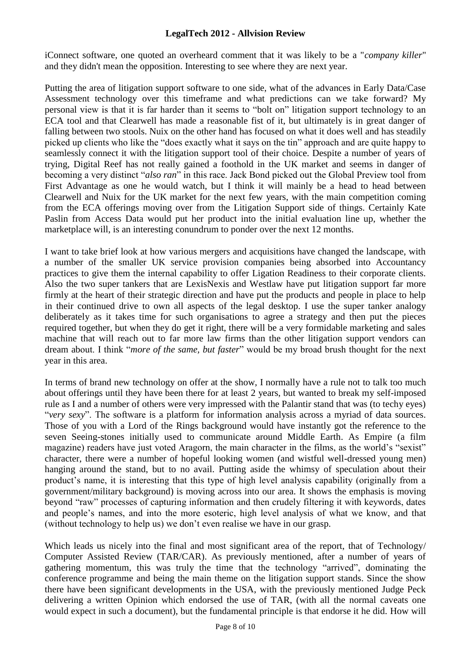iConnect software, one quoted an overheard comment that it was likely to be a "*company killer*" and they didn't mean the opposition. Interesting to see where they are next year.

Putting the area of litigation support software to one side, what of the advances in Early Data/Case Assessment technology over this timeframe and what predictions can we take forward? My personal view is that it is far harder than it seems to "bolt on" litigation support technology to an ECA tool and that Clearwell has made a reasonable fist of it, but ultimately is in great danger of falling between two stools. Nuix on the other hand has focused on what it does well and has steadily picked up clients who like the "does exactly what it says on the tin" approach and are quite happy to seamlessly connect it with the litigation support tool of their choice. Despite a number of years of trying, Digital Reef has not really gained a foothold in the UK market and seems in danger of becoming a very distinct "*also ran*" in this race. Jack Bond picked out the Global Preview tool from First Advantage as one he would watch, but I think it will mainly be a head to head between Clearwell and Nuix for the UK market for the next few years, with the main competition coming from the ECA offerings moving over from the Litigation Support side of things. Certainly Kate Paslin from Access Data would put her product into the initial evaluation line up, whether the marketplace will, is an interesting conundrum to ponder over the next 12 months.

I want to take brief look at how various mergers and acquisitions have changed the landscape, with a number of the smaller UK service provision companies being absorbed into Accountancy practices to give them the internal capability to offer Ligation Readiness to their corporate clients. Also the two super tankers that are LexisNexis and Westlaw have put litigation support far more firmly at the heart of their strategic direction and have put the products and people in place to help in their continued drive to own all aspects of the legal desktop. I use the super tanker analogy deliberately as it takes time for such organisations to agree a strategy and then put the pieces required together, but when they do get it right, there will be a very formidable marketing and sales machine that will reach out to far more law firms than the other litigation support vendors can dream about. I think "*more of the same, but faster*" would be my broad brush thought for the next year in this area.

In terms of brand new technology on offer at the show, I normally have a rule not to talk too much about offerings until they have been there for at least 2 years, but wanted to break my self-imposed rule as I and a number of others were very impressed with the Palantir stand that was (to techy eyes) "*very sexy*". The software is a platform for information analysis across a myriad of data sources. Those of you with a Lord of the Rings background would have instantly got the reference to the seven Seeing-stones initially used to communicate around Middle Earth. As Empire (a film magazine) readers have just voted Aragorn, the main character in the films, as the world's "sexist" character, there were a number of hopeful looking women (and wistful well-dressed young men) hanging around the stand, but to no avail. Putting aside the whimsy of speculation about their product's name, it is interesting that this type of high level analysis capability (originally from a government/military background) is moving across into our area. It shows the emphasis is moving beyond "raw" processes of capturing information and then crudely filtering it with keywords, dates and people's names, and into the more esoteric, high level analysis of what we know, and that (without technology to help us) we don't even realise we have in our grasp.

Which leads us nicely into the final and most significant area of the report, that of Technology/ Computer Assisted Review (TAR/CAR). As previously mentioned, after a number of years of gathering momentum, this was truly the time that the technology "arrived", dominating the conference programme and being the main theme on the litigation support stands. Since the show there have been significant developments in the USA, with the previously mentioned Judge Peck delivering a written Opinion which endorsed the use of TAR, (with all the normal caveats one would expect in such a document), but the fundamental principle is that endorse it he did. How will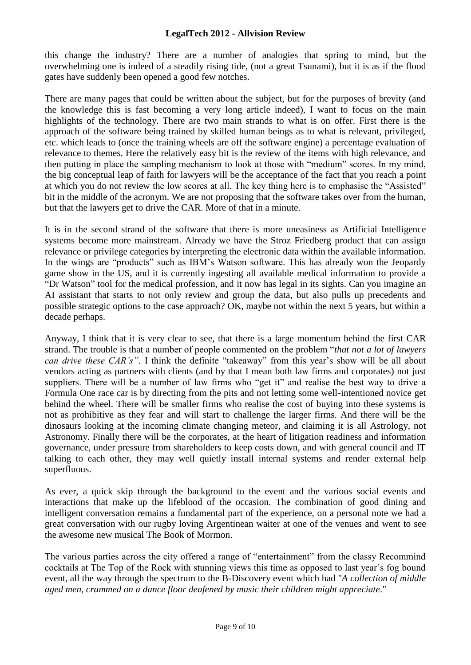this change the industry? There are a number of analogies that spring to mind, but the overwhelming one is indeed of a steadily rising tide, (not a great Tsunami), but it is as if the flood gates have suddenly been opened a good few notches.

There are many pages that could be written about the subject, but for the purposes of brevity (and the knowledge this is fast becoming a very long article indeed), I want to focus on the main highlights of the technology. There are two main strands to what is on offer. First there is the approach of the software being trained by skilled human beings as to what is relevant, privileged, etc. which leads to (once the training wheels are off the software engine) a percentage evaluation of relevance to themes. Here the relatively easy bit is the review of the items with high relevance, and then putting in place the sampling mechanism to look at those with "medium" scores. In my mind, the big conceptual leap of faith for lawyers will be the acceptance of the fact that you reach a point at which you do not review the low scores at all. The key thing here is to emphasise the "Assisted" bit in the middle of the acronym. We are not proposing that the software takes over from the human, but that the lawyers get to drive the CAR. More of that in a minute.

It is in the second strand of the software that there is more uneasiness as Artificial Intelligence systems become more mainstream. Already we have the Stroz Friedberg product that can assign relevance or privilege categories by interpreting the electronic data within the available information. In the wings are "products" such as IBM's Watson software. This has already won the Jeopardy game show in the US, and it is currently ingesting all available medical information to provide a "Dr Watson" tool for the medical profession, and it now has legal in its sights. Can you imagine an AI assistant that starts to not only review and group the data, but also pulls up precedents and possible strategic options to the case approach? OK, maybe not within the next 5 years, but within a decade perhaps.

Anyway, I think that it is very clear to see, that there is a large momentum behind the first CAR strand. The trouble is that a number of people commented on the problem "*that not a lot of lawyers can drive these CAR's".* I think the definite "takeaway" from this year's show will be all about vendors acting as partners with clients (and by that I mean both law firms and corporates) not just suppliers. There will be a number of law firms who "get it" and realise the best way to drive a Formula One race car is by directing from the pits and not letting some well-intentioned novice get behind the wheel. There will be smaller firms who realise the cost of buying into these systems is not as prohibitive as they fear and will start to challenge the larger firms. And there will be the dinosaurs looking at the incoming climate changing meteor, and claiming it is all Astrology, not Astronomy. Finally there will be the corporates, at the heart of litigation readiness and information governance, under pressure from shareholders to keep costs down, and with general council and IT talking to each other, they may well quietly install internal systems and render external help superfluous.

As ever, a quick skip through the background to the event and the various social events and interactions that make up the lifeblood of the occasion. The combination of good dining and intelligent conversation remains a fundamental part of the experience, on a personal note we had a great conversation with our rugby loving Argentinean waiter at one of the venues and went to see the awesome new musical The Book of Mormon.

The various parties across the city offered a range of "entertainment" from the classy Recommind cocktails at The Top of the Rock with stunning views this time as opposed to last year's fog bound event, all the way through the spectrum to the B-Discovery event which had "*A collection of middle aged men, crammed on a dance floor deafened by music their children might appreciate*."